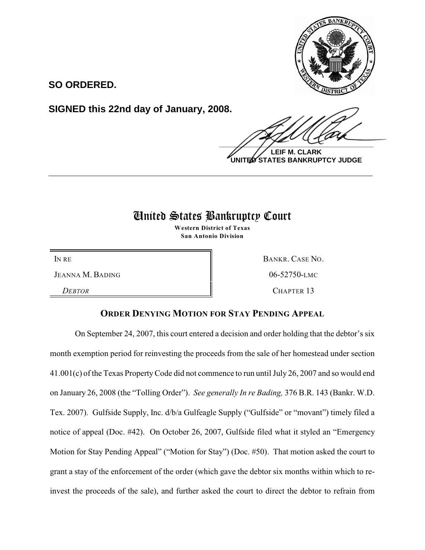

**SO ORDERED.**

**SIGNED this 22nd day of January, 2008.**

 $\frac{1}{2}$ 

**LEIF M. CLARK UNITED STATES BANKRUPTCY JUDGE**

# United States Bankruptcy Court

**\_\_\_\_\_\_\_\_\_\_\_\_\_\_\_\_\_\_\_\_\_\_\_\_\_\_\_\_\_\_\_\_\_\_\_\_\_\_\_\_\_\_\_\_\_\_\_\_\_\_\_\_\_\_\_\_\_\_\_\_**

**Western District of Texas San Antonio Division**

JEANNA M. BADING  $\parallel$  06-52750-LMC

*DEBTOR* CHAPTER 13

IN RE BANKR. CASE NO.

## **ORDER DENYING MOTION FOR STAY PENDING APPEAL**

On September 24, 2007, this court entered a decision and order holding that the debtor's six month exemption period for reinvesting the proceeds from the sale of her homestead under section 41.001(c) of the Texas PropertyCode did not commence to run until July 26, 2007 and so would end on January 26, 2008 (the "Tolling Order"). *See generally In re Bading,* 376 B.R. 143 (Bankr. W.D. Tex. 2007). Gulfside Supply, Inc. d/b/a Gulfeagle Supply ("Gulfside" or "movant") timely filed a notice of appeal (Doc. #42). On October 26, 2007, Gulfside filed what it styled an "Emergency Motion for Stay Pending Appeal" ("Motion for Stay") (Doc. #50). That motion asked the court to grant a stay of the enforcement of the order (which gave the debtor six months within which to reinvest the proceeds of the sale), and further asked the court to direct the debtor to refrain from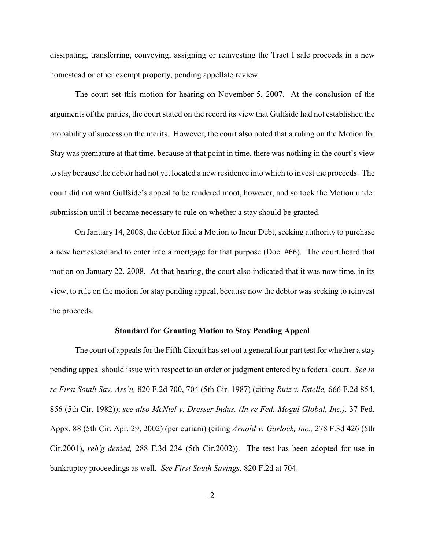dissipating, transferring, conveying, assigning or reinvesting the Tract I sale proceeds in a new homestead or other exempt property, pending appellate review.

The court set this motion for hearing on November 5, 2007. At the conclusion of the arguments of the parties, the court stated on the record its view that Gulfside had not established the probability of success on the merits. However, the court also noted that a ruling on the Motion for Stay was premature at that time, because at that point in time, there was nothing in the court's view to stay because the debtor had not yet located a new residence into which to invest the proceeds. The court did not want Gulfside's appeal to be rendered moot, however, and so took the Motion under submission until it became necessary to rule on whether a stay should be granted.

On January 14, 2008, the debtor filed a Motion to Incur Debt, seeking authority to purchase a new homestead and to enter into a mortgage for that purpose (Doc. #66). The court heard that motion on January 22, 2008. At that hearing, the court also indicated that it was now time, in its view, to rule on the motion for stay pending appeal, because now the debtor was seeking to reinvest the proceeds.

### **Standard for Granting Motion to Stay Pending Appeal**

The court of appeals for the Fifth Circuit has set out a general four part test for whether a stay pending appeal should issue with respect to an order or judgment entered by a federal court. *See In re First South Sav. Ass'n,* 820 F.2d 700, 704 (5th Cir. 1987) (citing *Ruiz v. Estelle,* 666 F.2d 854, 856 (5th Cir. 1982)); *see also McNiel v. Dresser Indus. (In re Fed.-Mogul Global, Inc.),* 37 Fed. Appx. 88 (5th Cir. Apr. 29, 2002) (per curiam) (citing *Arnold v. Garlock, Inc.,* 278 F.3d 426 (5th Cir.2001), *reh'g denied,* 288 F.3d 234 (5th Cir.2002)). The test has been adopted for use in bankruptcy proceedings as well. *See First South Savings*, 820 F.2d at 704.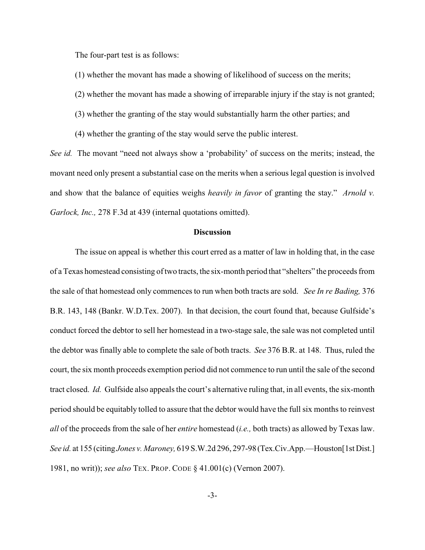The four-part test is as follows:

- (1) whether the movant has made a showing of likelihood of success on the merits;
- (2) whether the movant has made a showing of irreparable injury if the stay is not granted;
- (3) whether the granting of the stay would substantially harm the other parties; and
- (4) whether the granting of the stay would serve the public interest.

*See id.* The movant "need not always show a 'probability' of success on the merits; instead, the movant need only present a substantial case on the merits when a serious legal question is involved and show that the balance of equities weighs *heavily in favor* of granting the stay." *Arnold v. Garlock, Inc.,* 278 F.3d at 439 (internal quotations omitted).

#### **Discussion**

The issue on appeal is whether this court erred as a matter of law in holding that, in the case of a Texas homestead consisting oftwo tracts, the six-month period that "shelters" the proceeds from the sale of that homestead only commences to run when both tracts are sold. *See In re Bading,* 376 B.R. 143, 148 (Bankr. W.D.Tex. 2007). In that decision, the court found that, because Gulfside's conduct forced the debtor to sell her homestead in a two-stage sale, the sale was not completed until the debtor was finally able to complete the sale of both tracts. *See* 376 B.R. at 148. Thus, ruled the court, the six month proceeds exemption period did not commence to run until the sale of the second tract closed. *Id.* Gulfside also appeals the court's alternative ruling that, in all events, the six-month period should be equitably tolled to assure that the debtor would have the full six months to reinvest *all* of the proceeds from the sale of her *entire* homestead (*i.e.,* both tracts) as allowed by Texas law. *See id.* at 155 (citing *Jones v. Maroney,* 619 S.W.2d 296, 297-98 (Tex.Civ.App.—Houston[1st Dist.] 1981, no writ)); *see also* TEX. PROP. CODE § 41.001(c) (Vernon 2007).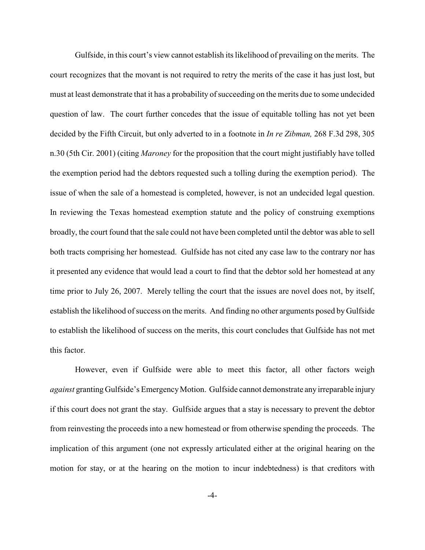Gulfside, in this court's view cannot establish its likelihood of prevailing on the merits. The court recognizes that the movant is not required to retry the merits of the case it has just lost, but must at least demonstrate that it has a probability of succeeding on the merits due to some undecided question of law. The court further concedes that the issue of equitable tolling has not yet been decided by the Fifth Circuit, but only adverted to in a footnote in *In re Zibman,* 268 F.3d 298, 305 n.30 (5th Cir. 2001) (citing *Maroney* for the proposition that the court might justifiably have tolled the exemption period had the debtors requested such a tolling during the exemption period). The issue of when the sale of a homestead is completed, however, is not an undecided legal question. In reviewing the Texas homestead exemption statute and the policy of construing exemptions broadly, the court found that the sale could not have been completed until the debtor was able to sell both tracts comprising her homestead. Gulfside has not cited any case law to the contrary nor has it presented any evidence that would lead a court to find that the debtor sold her homestead at any time prior to July 26, 2007. Merely telling the court that the issues are novel does not, by itself, establish the likelihood of success on the merits. And finding no other arguments posed by Gulfside to establish the likelihood of success on the merits, this court concludes that Gulfside has not met this factor.

However, even if Gulfside were able to meet this factor, all other factors weigh *against* granting Gulfside's Emergency Motion. Gulfside cannot demonstrate any irreparable injury if this court does not grant the stay. Gulfside argues that a stay is necessary to prevent the debtor from reinvesting the proceeds into a new homestead or from otherwise spending the proceeds. The implication of this argument (one not expressly articulated either at the original hearing on the motion for stay, or at the hearing on the motion to incur indebtedness) is that creditors with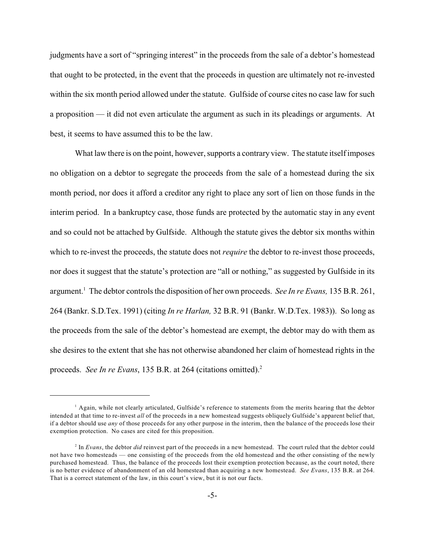judgments have a sort of "springing interest" in the proceeds from the sale of a debtor's homestead that ought to be protected, in the event that the proceeds in question are ultimately not re-invested within the six month period allowed under the statute. Gulfside of course cites no case law for such a proposition — it did not even articulate the argument as such in its pleadings or arguments. At best, it seems to have assumed this to be the law.

What law there is on the point, however, supports a contrary view. The statute itself imposes no obligation on a debtor to segregate the proceeds from the sale of a homestead during the six month period, nor does it afford a creditor any right to place any sort of lien on those funds in the interim period. In a bankruptcy case, those funds are protected by the automatic stay in any event and so could not be attached by Gulfside. Although the statute gives the debtor six months within which to re-invest the proceeds, the statute does not *require* the debtor to re-invest those proceeds, nor does it suggest that the statute's protection are "all or nothing," as suggested by Gulfside in its argument.<sup>1</sup> The debtor controls the disposition of her own proceeds. *See In re Evans*, 135 B.R. 261, 264 (Bankr. S.D.Tex. 1991) (citing *In re Harlan,* 32 B.R. 91 (Bankr. W.D.Tex. 1983)). So long as the proceeds from the sale of the debtor's homestead are exempt, the debtor may do with them as she desires to the extent that she has not otherwise abandoned her claim of homestead rights in the proceeds. *See In re Evans*, 135 B.R. at 264 (citations omitted).<sup>2</sup>

<sup>&</sup>lt;sup>1</sup> Again, while not clearly articulated, Gulfside's reference to statements from the merits hearing that the debtor intended at that time to re-invest *all* of the proceeds in a new homestead suggests obliquely Gulfside's apparent belief that, if a debtor should use *any* of those proceeds for any other purpose in the interim, then the balance of the proceeds lose their exemption protection. No cases are cited for this proposition.

<sup>&</sup>lt;sup>2</sup> In *Evans*, the debtor *did* reinvest part of the proceeds in a new homestead. The court ruled that the debtor could not have two homesteads — one consisting of the proceeds from the old homestead and the other consisting of the newly purchased homestead. Thus, the balance of the proceeds lost their exemption protection because, as the court noted, there is no better evidence of abandonment of an old homestead than acquiring a new homestead. *See Evans*, 135 B.R. at 264. That is a correct statement of the law, in this court's view, but it is not our facts.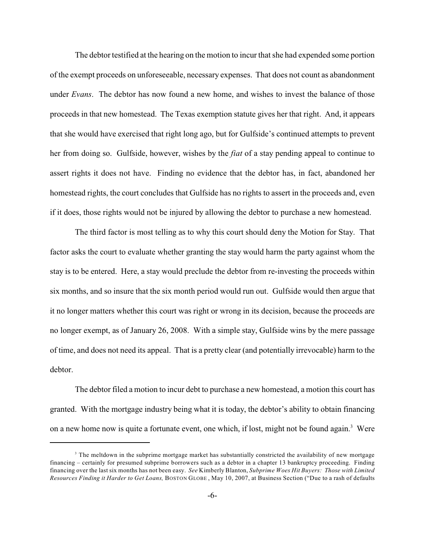The debtor testified at the hearing on the motion to incur that she had expended some portion of the exempt proceeds on unforeseeable, necessary expenses. That does not count as abandonment under *Evans*. The debtor has now found a new home, and wishes to invest the balance of those proceeds in that new homestead. The Texas exemption statute gives her that right. And, it appears that she would have exercised that right long ago, but for Gulfside's continued attempts to prevent her from doing so. Gulfside, however, wishes by the *fiat* of a stay pending appeal to continue to assert rights it does not have. Finding no evidence that the debtor has, in fact, abandoned her homestead rights, the court concludes that Gulfside has no rights to assert in the proceeds and, even if it does, those rights would not be injured by allowing the debtor to purchase a new homestead.

The third factor is most telling as to why this court should deny the Motion for Stay. That factor asks the court to evaluate whether granting the stay would harm the party against whom the stay is to be entered. Here, a stay would preclude the debtor from re-investing the proceeds within six months, and so insure that the six month period would run out. Gulfside would then argue that it no longer matters whether this court was right or wrong in its decision, because the proceeds are no longer exempt, as of January 26, 2008. With a simple stay, Gulfside wins by the mere passage of time, and does not need its appeal. That is a pretty clear (and potentially irrevocable) harm to the debtor.

The debtor filed a motion to incur debt to purchase a new homestead, a motion this court has granted. With the mortgage industry being what it is today, the debtor's ability to obtain financing on a new home now is quite a fortunate event, one which, if lost, might not be found again.<sup>3</sup> Were

<sup>&</sup>lt;sup>3</sup> The meltdown in the subprime mortgage market has substantially constricted the availability of new mortgage financing – certainly for presumed subprime borrowers such as a debtor in a chapter 13 bankruptcy proceeding. Finding financing over the last six months has not been easy. *See* Kimberly Blanton, *Subprime Woes Hit Buyers: Those with Limited Resources Finding it Harder to Get Loans,* BOSTON GLOBE , May 10, 2007, at Business Section ("Due to a rash of defaults